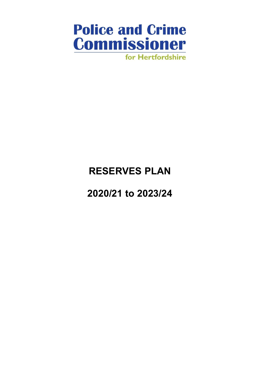

# RESERVES PLAN

2020/21 to 2023/24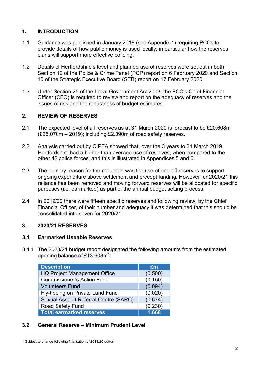#### 1. INTRODUCTION

- 1.1 Guidance was published in January 2018 (see Appendix 1) requiring PCCs to provide details of how public money is used locally; in particular how the reserves plans will support more effective policing.
- 1.2 Details of Hertfordshire's level and planned use of reserves were set out in both Section 12 of the Police & Crime Panel (PCP) report on 6 February 2020 and Section 10 of the Strategic Executive Board (SEB) report on 17 February 2020.
- 1.3 Under Section 25 of the Local Government Act 2003, the PCC's Chief Financial Officer (CFO) is required to review and report on the adequacy of reserves and the issues of risk and the robustness of budget estimates.

### 2. REVIEW OF RESERVES

- 2.1. The expected level of all reserves as at 31 March 2020 is forecast to be £20.608m (£25.070m – 2019); including £2.090m of road safety reserves.
- 2.2. Analysis carried out by CIPFA showed that, over the 3 years to 31 March 2019, Hertfordshire had a higher than average use of reserves, when compared to the other 42 police forces, and this is illustrated in Appendices 5 and 6.
- 2.3 The primary reason for the reduction was the use of one-off reserves to support ongoing expenditure above settlement and precept funding. However for 2020/21 this reliance has been removed and moving forward reserves will be allocated for specific purposes (i.e. earmarked) as part of the annual budget setting process.
- 2.4 In 2019/20 there were fifteen specific reserves and following review, by the Chief Financial Officer, of their number and adequacy it was determined that this should be consolidated into seven for 2020/21.

#### 3. 2020/21 RESERVES

#### 3.1 Earmarked Useable Reserves

3.1.1 The 2020/21 budget report designated the following amounts from the estimated opening balance of £13.608m<sup>1</sup>:

| <b>Description</b>                           | £m      |
|----------------------------------------------|---------|
| <b>HQ Project Management Office</b>          | (0.500) |
| <b>Commissioner's Action Fund</b>            | (0.150) |
| <b>Volunteers Fund</b>                       | (0.094) |
| Fly-tipping on Private Land Fund             | (0.020) |
| <b>Sexual Assault Referral Centre (SARC)</b> | (0.674) |
| <b>Road Safety Fund</b>                      | (0.230) |
| <b>Total earmarked reserves</b>              | 1.668   |

#### 3.2 General Reserve – Minimum Prudent Level

 $\overline{a}$ 1 Subject to change following finalisation of 2019/20 outturn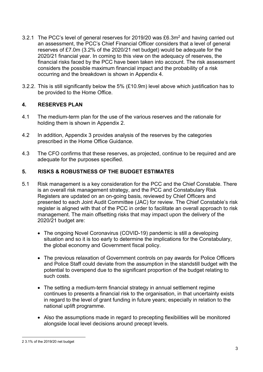- 3.2.1 The PCC's level of general reserves for 2019/20 was  $£6.3m<sup>2</sup>$  and having carried out an assessment, the PCC's Chief Financial Officer considers that a level of general reserves of £7.0m (3.2% of the 2020/21 net budget) would be adequate for the 2020/21 financial year. In coming to this view on the adequacy of reserves, the financial risks faced by the PCC have been taken into account. The risk assessment considers the possible maximum financial impact and the probability of a risk occurring and the breakdown is shown in Appendix 4.
- 3.2.2. This is still significantly below the 5% (£10.9m) level above which justification has to be provided to the Home Office.

#### 4. RESERVES PLAN

- 4.1 The medium-term plan for the use of the various reserves and the rationale for holding them is shown in Appendix 2.
- 4.2 In addition, Appendix 3 provides analysis of the reserves by the categories prescribed in the Home Office Guidance.
- 4.3 The CFO confirms that these reserves, as projected, continue to be required and are adequate for the purposes specified.

#### 5. RISKS & ROBUSTNESS OF THE BUDGET ESTIMATES

- 5.1 Risk management is a key consideration for the PCC and the Chief Constable. There is an overall risk management strategy, and the PCC and Constabulary Risk Registers are updated on an on-going basis, reviewed by Chief Officers and presented to each Joint Audit Committee (JAC) for review. The Chief Constable's risk register is aligned with that of the PCC in order to facilitate an overall approach to risk management. The main offsetting risks that may impact upon the delivery of the 2020/21 budget are:
	- The ongoing Novel Coronavirus (COVID-19) pandemic is still a developing situation and so it is too early to determine the implications for the Constabulary, the global economy and Government fiscal policy.
	- The previous relaxation of Government controls on pay awards for Police Officers and Police Staff could deviate from the assumption in the standstill budget with the potential to overspend due to the significant proportion of the budget relating to such costs.
	- The setting a medium-term financial strategy in annual settlement regime continues to presents a financial risk to the organisation, in that uncertainty exists in regard to the level of grant funding in future years; especially in relation to the national uplift programme.
	- Also the assumptions made in regard to precepting flexibilities will be monitored alongside local level decisions around precept levels.

 $\overline{a}$ 2 3.1% of the 2019/20 net budget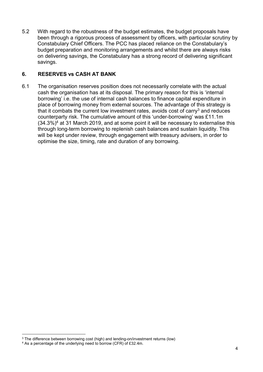5.2 With regard to the robustness of the budget estimates, the budget proposals have been through a rigorous process of assessment by officers, with particular scrutiny by Constabulary Chief Officers. The PCC has placed reliance on the Constabulary's budget preparation and monitoring arrangements and whilst there are always risks on delivering savings, the Constabulary has a strong record of delivering significant savings.

#### 6. RESERVES vs CASH AT BANK

6.1 The organisation reserves position does not necessarily correlate with the actual cash the organisation has at its disposal. The primary reason for this is 'internal borrowing' i.e. the use of internal cash balances to finance capital expenditure in place of borrowing money from external sources. The advantage of this strategy is that it combats the current low investment rates, avoids cost of carry<sup>3</sup> and reduces counterparty risk. The cumulative amount of this 'under-borrowing' was £11.1m  $(34.3%)<sup>4</sup>$  at 31 March 2019, and at some point it will be necessary to externalise this through long-term borrowing to replenish cash balances and sustain liquidity. This will be kept under review, through engagement with treasury advisers, in order to optimise the size, timing, rate and duration of any borrowing.

 $\overline{a}$ 

<sup>&</sup>lt;sup>3</sup> The difference between borrowing cost (high) and lending-on/investment returns (low)

<sup>&</sup>lt;sup>4</sup> As a percentage of the underlying need to borrow (CFR) of £32.4m.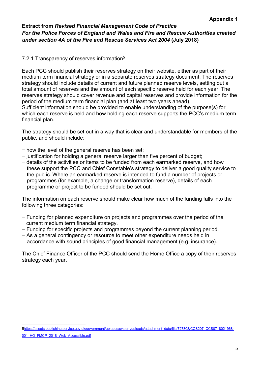#### Extract from Revised Financial Management Code of Practice For the Police Forces of England and Wales and Fire and Rescue Authorities created under section 4A of the Fire and Rescue Services Act 2004 (July 2018)

#### 7.2.1 Transparency of reserves information<sup>5</sup>

Each PCC should publish their reserves strategy on their website, either as part of their medium term financial strategy or in a separate reserves strategy document. The reserves strategy should include details of current and future planned reserve levels, setting out a total amount of reserves and the amount of each specific reserve held for each year. The reserves strategy should cover revenue and capital reserves and provide information for the period of the medium term financial plan (and at least two years ahead). Sufficient information should be provided to enable understanding of the purpose(s) for which each reserve is held and how holding each reserve supports the PCC's medium term financial plan.

The strategy should be set out in a way that is clear and understandable for members of the public, and should include:

- − how the level of the general reserve has been set;
- − justification for holding a general reserve larger than five percent of budget;
- − details of the activities or items to be funded from each earmarked reserve, and how these support the PCC and Chief Constable's strategy to deliver a good quality service to the public. Where an earmarked reserve is intended to fund a number of projects or programmes (for example, a change or transformation reserve), details of each programme or project to be funded should be set out.

The information on each reserve should make clear how much of the funding falls into the following three categories:

- − Funding for planned expenditure on projects and programmes over the period of the current medium term financial strategy.
- − Funding for specific projects and programmes beyond the current planning period.
- − As a general contingency or resource to meet other expenditure needs held in accordance with sound principles of good financial management (e.g. insurance).

The Chief Finance Officer of the PCC should send the Home Office a copy of their reserves strategy each year.

 $\overline{a}$ 5https://assets.publishing.service.gov.uk/government/uploads/system/uploads/attachment\_data/file/727808/CCS207\_CCS0718021968-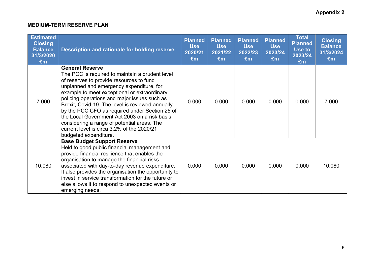#### MEDIUM-TERM RESERVE PLAN

| <b>Estimated</b><br><b>Closing</b><br><b>Balance</b><br>31/3/2020<br>Em | Description and rationale for holding reserve                                                                                                                                                                                                                                                                                                                                                                                                                                                                                                  | <b>Planned</b><br><b>Use</b><br>2020/21<br>£m | <b>Planned</b><br><b>Use</b><br>2021/22<br>Em | <b>Planned</b><br><b>Use</b><br>2022/23<br>Em | <b>Planned</b><br><b>Use</b><br>2023/24<br>Em | <b>Total</b><br><b>Planned</b><br>Use to<br>2023/24<br>£m | <b>Closing</b><br><b>Balance</b><br>31/3/2024<br>£m |
|-------------------------------------------------------------------------|------------------------------------------------------------------------------------------------------------------------------------------------------------------------------------------------------------------------------------------------------------------------------------------------------------------------------------------------------------------------------------------------------------------------------------------------------------------------------------------------------------------------------------------------|-----------------------------------------------|-----------------------------------------------|-----------------------------------------------|-----------------------------------------------|-----------------------------------------------------------|-----------------------------------------------------|
| 7.000                                                                   | <b>General Reserve</b><br>The PCC is required to maintain a prudent level<br>of reserves to provide resources to fund<br>unplanned and emergency expenditure, for<br>example to meet exceptional or extraordinary<br>policing operations and major issues such as<br>Brexit, Covid-19. The level is reviewed annually<br>by the PCC CFO as required under Section 25 of<br>the Local Government Act 2003 on a risk basis<br>considering a range of potential areas. The<br>current level is circa 3.2% of the 2020/21<br>budgeted expenditure. | 0.000                                         | 0.000                                         | 0.000                                         | 0.000                                         | 0.000                                                     | 7.000                                               |
| 10.080                                                                  | <b>Base Budget Support Reserve</b><br>Held to good public financial management and<br>provide financial resilience that enables the<br>organisation to manage the financial risks<br>associated with day-to-day revenue expenditure.<br>It also provides the organisation the opportunity to<br>invest in service transformation for the future or<br>else allows it to respond to unexpected events or<br>emerging needs.                                                                                                                     | 0.000                                         | 0.000                                         | 0.000                                         | 0.000                                         | 0.000                                                     | 10.080                                              |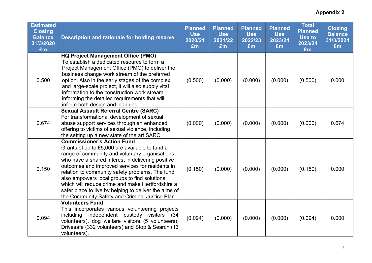| <b>Estimated</b><br><b>Closing</b><br><b>Balance</b><br>31/3/2020<br>£m | Description and rationale for holding reserve                                                                                                                                                                                                                                                                                                                                                                                                                                                                    | <b>Planned</b><br><b>Use</b><br>2020/21<br>£m | <b>Planned</b><br><b>Use</b><br>2021/22<br>£m | <b>Planned</b><br><b>Use</b><br>2022/23<br>£m | <b>Planned</b><br><b>Use</b><br>2023/24<br>£m | <b>Total</b><br><b>Planned</b><br>Use to<br>2023/24<br>£m | <b>Closing</b><br><b>Balance</b><br>31/3/2024<br>£m |
|-------------------------------------------------------------------------|------------------------------------------------------------------------------------------------------------------------------------------------------------------------------------------------------------------------------------------------------------------------------------------------------------------------------------------------------------------------------------------------------------------------------------------------------------------------------------------------------------------|-----------------------------------------------|-----------------------------------------------|-----------------------------------------------|-----------------------------------------------|-----------------------------------------------------------|-----------------------------------------------------|
| 0.500                                                                   | <b>HQ Project Management Office (PMO)</b><br>To establish a dedicated resource to form a<br>Project Management Office (PMO) to deliver the<br>business change work stream of the preferred<br>option. Also in the early stages of the complex<br>and large-scale project, it will also supply vital<br>information to the construction work stream,<br>informing the detailed requirements that will<br>inform both design and planning.                                                                         | (0.500)                                       | (0.000)                                       | (0.000)                                       | (0.000)                                       | (0.500)                                                   | 0.000                                               |
| 0.674                                                                   | <b>Sexual Assault Referral Centre (SARC)</b><br>For transformational development of sexual<br>abuse support services through an enhanced<br>offering to victims of sexual violence, including<br>the setting up a new state of the art SARC.                                                                                                                                                                                                                                                                     | (0.000)                                       | (0.000)                                       | (0.000)                                       | (0.000)                                       | (0.000)                                                   | 0.674                                               |
| 0.150                                                                   | <b>Commissioner's Action Fund</b><br>Grants of up to £5,000 are available to fund a<br>range of community and voluntary organisations<br>who have a shared interest in delivering positive<br>outcomes and improved services for residents in<br>relation to community safety problems. The fund<br>also empowers local groups to find solutions<br>which will reduce crime and make Hertfordshire a<br>safer place to live by helping to deliver the aims of<br>the Community Safety and Criminal Justice Plan. | (0.150)                                       | (0.000)                                       | (0.000)                                       | (0.000)                                       | (0.150)                                                   | 0.000                                               |
| 0.094                                                                   | <b>Volunteers Fund</b><br>This incorporates various volunteering projects<br>including independent custody visitors<br>(34<br>volunteers), dog welfare visitors (5 volunteers),<br>Drivesafe (332 volunteers) and Stop & Search (13<br>volunteers).                                                                                                                                                                                                                                                              | (0.094)                                       | (0.000)                                       | (0.000)                                       | (0.000)                                       | (0.094)                                                   | 0.000                                               |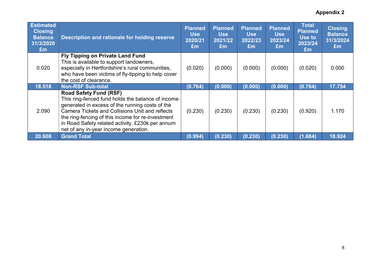| <b>Estimated</b><br><b>Closing</b><br><b>Balance</b><br>31/3/2020<br>Em | Description and rationale for holding reserve                                                                                                                                                                                                                                                                                                     | <b>Planned</b><br><b>Use</b><br>2020/21<br>£m | <b>Planned</b><br><b>Use</b><br>2021/22<br>Em | <b>Planned</b><br><b>Use</b><br>2022/23<br>Em | <b>Planned</b><br><b>Use</b><br>2023/24<br>Em | <b>Total</b><br><b>Planned</b><br>Use to<br>2023/24<br>Em | <b>Closing</b><br><b>Balance</b><br>31/3/2024<br>Em |
|-------------------------------------------------------------------------|---------------------------------------------------------------------------------------------------------------------------------------------------------------------------------------------------------------------------------------------------------------------------------------------------------------------------------------------------|-----------------------------------------------|-----------------------------------------------|-----------------------------------------------|-----------------------------------------------|-----------------------------------------------------------|-----------------------------------------------------|
| 0.020                                                                   | Fly Tipping on Private Land Fund<br>This is available to support landowners,<br>especially in Hertfordshire's rural communities,<br>who have been victims of fly-tipping to help cover<br>the cost of clearance.                                                                                                                                  | (0.020)                                       | (0.000)                                       | (0.000)                                       | (0.000)                                       | (0.020)                                                   | 0.000                                               |
| 18.518                                                                  | <b>Non-RSF Sub-total</b>                                                                                                                                                                                                                                                                                                                          | (0.764)                                       | (0.000)                                       | (0.000)                                       | (0.000)                                       | (0.764)                                                   | 17.754                                              |
| 2.090                                                                   | <b>Road Safety Fund (RSF)</b><br>This ring-fenced fund holds the balance of income<br>generated in excess of the running costs of the<br><b>Camera Tickets and Collisions Unit and reflects</b><br>the ring-fencing of this income for re-investment<br>in Road Safety related activity. £230k per annum<br>net of any in-year income generation. | (0.230)                                       | (0.230)                                       | (0.230)                                       | (0.230)                                       | (0.920)                                                   | 1.170                                               |
| 20.608                                                                  | <b>Grand Total</b>                                                                                                                                                                                                                                                                                                                                | (0.994)                                       | (0.230)                                       | (0.230)                                       | (0.230)                                       | (1.684)                                                   | 18.924                                              |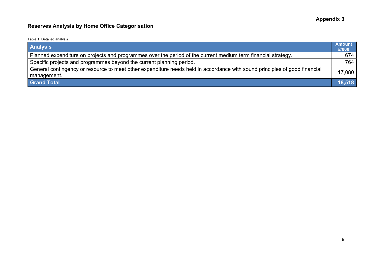# Reserves Analysis by Home Office Categorisation

#### Table 1: Detailed analysis

| <b>Analysis</b>                                                                                                                           | <b>Amount</b><br>£'000 |
|-------------------------------------------------------------------------------------------------------------------------------------------|------------------------|
| Planned expenditure on projects and programmes over the period of the current medium term financial strategy.                             | 674                    |
| Specific projects and programmes beyond the current planning period.                                                                      | 764                    |
| General contingency or resource to meet other expenditure needs held in accordance with sound principles of good financial<br>management. | 17,080                 |
| <b>Grand Total</b>                                                                                                                        | 18,518                 |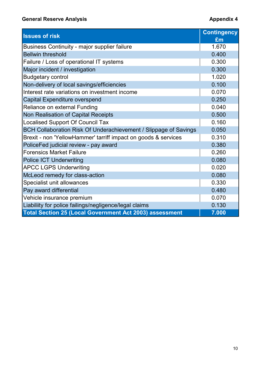# General Reserve Analysis **Appendix 4** and the Seneral Reserve Analysis

| <b>General Reserve Analysis</b>                                  | <b>Appendix 4</b>  |
|------------------------------------------------------------------|--------------------|
| <b>Issues of risk</b>                                            | <b>Contingency</b> |
|                                                                  | Em                 |
| <b>Business Continuity - major supplier failure</b>              | 1.670              |
| <b>Bellwin threshold</b>                                         | 0.400              |
| Failure / Loss of operational IT systems                         | 0.300              |
| Major incident / investigation                                   | 0.300              |
| <b>Budgetary control</b>                                         | 1.020              |
| Non-delivery of local savings/efficiencies                       | 0.100              |
| Interest rate variations on investment income                    | 0.070              |
| Capital Expenditure overspend                                    | 0.250              |
| Reliance on external Funding                                     | 0.040              |
| Non Realisation of Capital Receipts                              | 0.500              |
| <b>Localised Support Of Council Tax</b>                          | 0.160              |
| BCH Collaboration Risk Of Underachievement / Slippage of Savings | 0.050              |
| Brexit - non 'YellowHammer' tarriff impact on goods & services   | 0.310              |
| PoliceFed judicial review - pay award                            | 0.380              |
| <b>Forensics Market Failure</b>                                  | 0.260              |
| <b>Police ICT Underwriting</b>                                   | 0.080              |
| <b>APCC LGPS Underwriting</b>                                    | 0.020              |
| McLeod remedy for class-action                                   | 0.080              |
| Specialist unit allowances                                       | 0.330              |
| Pay award differential                                           | 0.480              |
| Vehicle insurance premium                                        | 0.070              |
| Liabiliity for police failings/negligence/legal claims           | 0.130              |
| <b>Total Section 25 (Local Government Act 2003) assessment</b>   | 7.000              |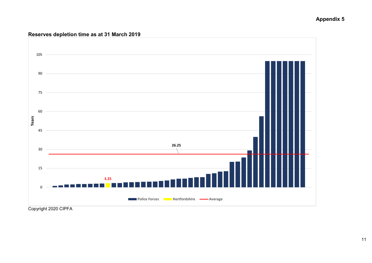#### Appendix 5

#### Reserves depletion time as at 31 March 2019



Copyright 2020 CIPFA